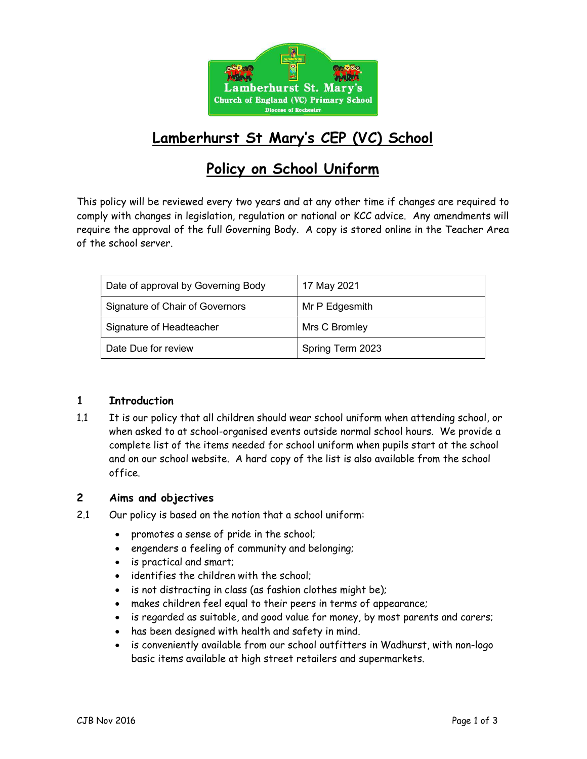

# Lamberhurst St Mary's CEP (VC) School

# Policy on School Uniform

This policy will be reviewed every two years and at any other time if changes are required to comply with changes in legislation, regulation or national or KCC advice. Any amendments will require the approval of the full Governing Body. A copy is stored online in the Teacher Area of the school server.

| Date of approval by Governing Body | 17 May 2021      |
|------------------------------------|------------------|
| Signature of Chair of Governors    | Mr P Edgesmith   |
| Signature of Headteacher           | Mrs C Bromley    |
| Date Due for review                | Spring Term 2023 |

#### 1 Introduction

1.1 It is our policy that all children should wear school uniform when attending school, or when asked to at school-organised events outside normal school hours. We provide a complete list of the items needed for school uniform when pupils start at the school and on our school website. A hard copy of the list is also available from the school office.

### 2 Aims and objectives

- 2.1 Our policy is based on the notion that a school uniform:
	- promotes a sense of pride in the school;
	- engenders a feeling of community and belonging;
	- is practical and smart;
	- identifies the children with the school;
	- is not distracting in class (as fashion clothes might be);
	- makes children feel equal to their peers in terms of appearance;
	- is regarded as suitable, and good value for money, by most parents and carers;
	- has been designed with health and safety in mind.
	- is conveniently available from our school outfitters in Wadhurst, with non-logo basic items available at high street retailers and supermarkets.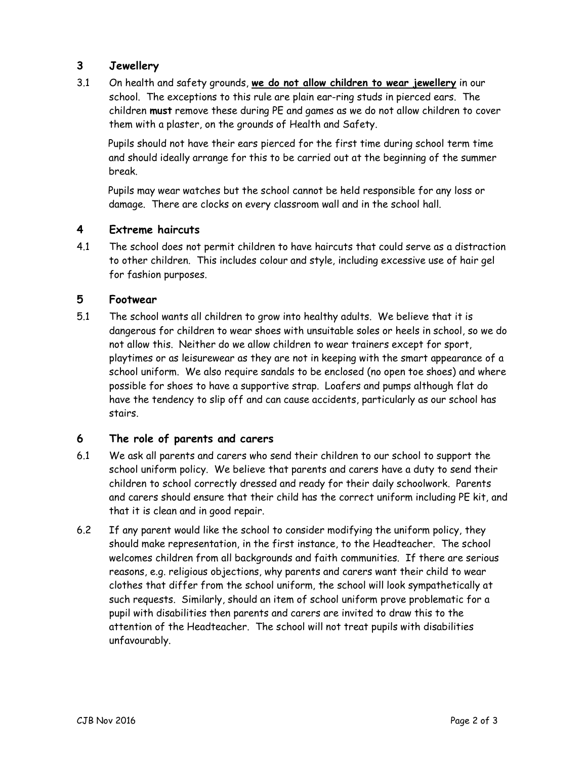## 3 Jewellery

3.1 On health and safety grounds, we do not allow children to wear jewellery in our school. The exceptions to this rule are plain ear-ring studs in pierced ears. The children must remove these during PE and games as we do not allow children to cover them with a plaster, on the grounds of Health and Safety.

Pupils should not have their ears pierced for the first time during school term time and should ideally arrange for this to be carried out at the beginning of the summer break.

Pupils may wear watches but the school cannot be held responsible for any loss or damage. There are clocks on every classroom wall and in the school hall.

#### 4 Extreme haircuts

4.1 The school does not permit children to have haircuts that could serve as a distraction to other children. This includes colour and style, including excessive use of hair gel for fashion purposes.

#### 5 Footwear

5.1 The school wants all children to grow into healthy adults. We believe that it is dangerous for children to wear shoes with unsuitable soles or heels in school, so we do not allow this. Neither do we allow children to wear trainers except for sport, playtimes or as leisurewear as they are not in keeping with the smart appearance of a school uniform. We also require sandals to be enclosed (no open toe shoes) and where possible for shoes to have a supportive strap. Loafers and pumps although flat do have the tendency to slip off and can cause accidents, particularly as our school has stairs.

### 6 The role of parents and carers

- 6.1 We ask all parents and carers who send their children to our school to support the school uniform policy. We believe that parents and carers have a duty to send their children to school correctly dressed and ready for their daily schoolwork. Parents and carers should ensure that their child has the correct uniform including PE kit, and that it is clean and in good repair.
- 6.2 If any parent would like the school to consider modifying the uniform policy, they should make representation, in the first instance, to the Headteacher. The school welcomes children from all backgrounds and faith communities. If there are serious reasons, e.g. religious objections, why parents and carers want their child to wear clothes that differ from the school uniform, the school will look sympathetically at such requests. Similarly, should an item of school uniform prove problematic for a pupil with disabilities then parents and carers are invited to draw this to the attention of the Headteacher. The school will not treat pupils with disabilities unfavourably.